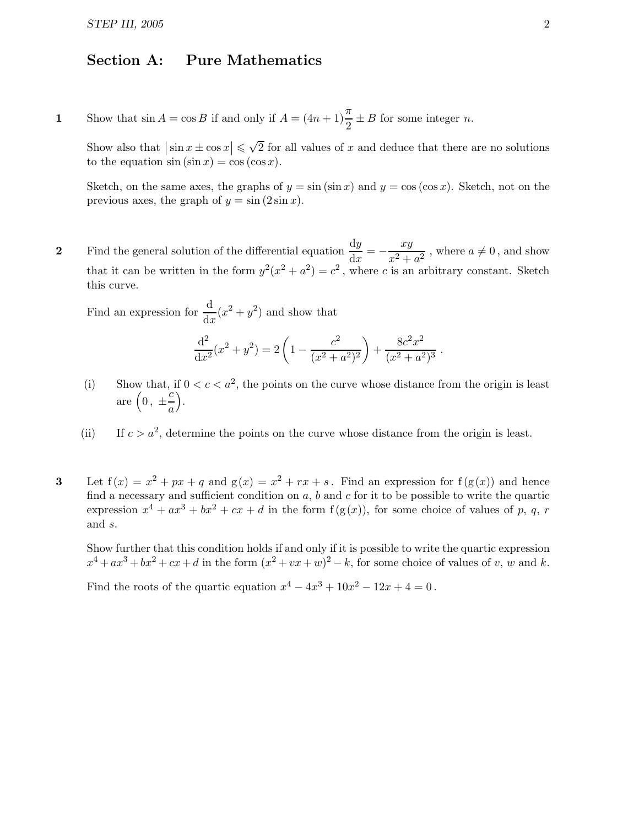## Section A: Pure Mathematics

1 Show that  $\sin A = \cos B$  if and only if  $A = (4n + 1)\frac{\pi}{2} \pm B$  for some integer *n*.

Show also that  $|\sin x \pm \cos x| \leq \sqrt{2}$  for all values of x and deduce that there are no solutions to the equation  $\sin (\sin x) = \cos (\cos x)$ .

Sketch, on the same axes, the graphs of  $y = \sin(\sin x)$  and  $y = \cos(\cos x)$ . Sketch, not on the previous axes, the graph of  $y = \sin(2 \sin x)$ .

2 Find the general solution of the differential equation  $\frac{dy}{dx} = -\frac{xy}{x^2 + y^2}$  $\frac{dy}{x^2 + a^2}$ , where  $a \neq 0$ , and show that it can be written in the form  $y^2(x^2 + a^2) = c^2$ , where c is an arbitrary constant. Sketch this curve.

Find an expression for  $\frac{d}{dx}(x^2 + y^2)$  and show that

$$
\frac{\mathrm{d}^2}{\mathrm{d}x^2}(x^2 + y^2) = 2\left(1 - \frac{c^2}{(x^2 + a^2)^2}\right) + \frac{8c^2x^2}{(x^2 + a^2)^3}.
$$

- (i) Show that, if  $0 < c < a^2$ , the points on the curve whose distance from the origin is least are  $\left(0, \pm \frac{c}{a}\right)$ a .
- (ii) If  $c > a^2$ , determine the points on the curve whose distance from the origin is least.
- 3 Let  $f(x) = x^2 + px + q$  and  $g(x) = x^2 + rx + s$ . Find an expression for  $f(g(x))$  and hence find a necessary and sufficient condition on  $a, b$  and  $c$  for it to be possible to write the quartic expression  $x^4 + ax^3 + bx^2 + cx + d$  in the form  $f(g(x))$ , for some choice of values of p, q, r and s.

Show further that this condition holds if and only if it is possible to write the quartic expression  $x^4 + ax^3 + bx^2 + cx + d$  in the form  $(x^2 + vx + w)^2 - k$ , for some choice of values of v, w and k.

Find the roots of the quartic equation  $x^4 - 4x^3 + 10x^2 - 12x + 4 = 0$ .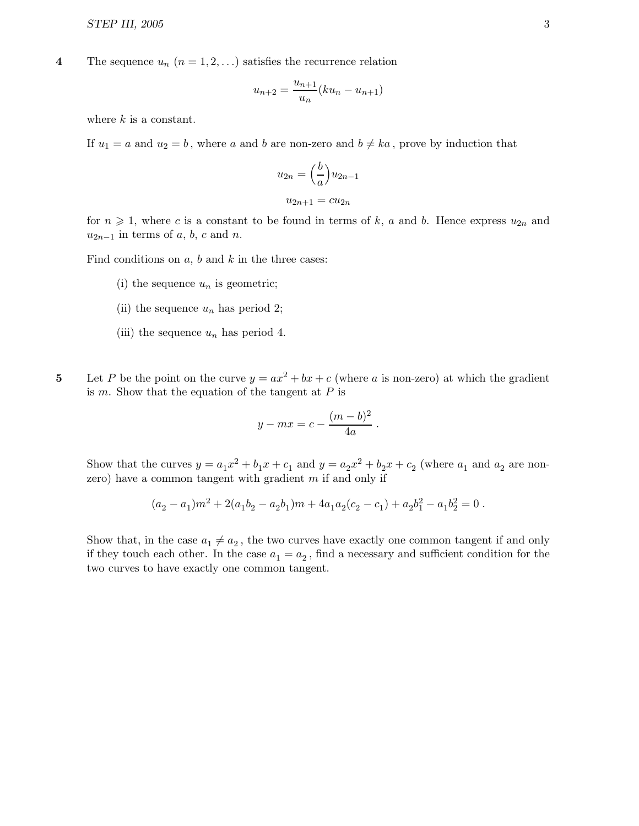4 The sequence  $u_n$   $(n = 1, 2, ...)$  satisfies the recurrence relation

$$
u_{n+2} = \frac{u_{n+1}}{u_n}(ku_n - u_{n+1})
$$

where  $k$  is a constant.

If  $u_1 = a$  and  $u_2 = b$ , where a and b are non-zero and  $b \neq ka$ , prove by induction that

$$
u_{2n} = \left(\frac{b}{a}\right)u_{2n-1}
$$

$$
u_{2n+1} = cu_{2n}
$$

for  $n \geq 1$ , where c is a constant to be found in terms of k, a and b. Hence express  $u_{2n}$  and  $u_{2n-1}$  in terms of a, b, c and n.

Find conditions on  $a, b$  and  $k$  in the three cases:

- (i) the sequence  $u_n$  is geometric;
- (ii) the sequence  $u_n$  has period 2;
- (iii) the sequence  $u_n$  has period 4.
- 5 Let P be the point on the curve  $y = ax^2 + bx + c$  (where a is non-zero) at which the gradient is  $m$ . Show that the equation of the tangent at  $P$  is

$$
y - mx = c - \frac{(m-b)^2}{4a}.
$$

Show that the curves  $y = a_1x^2 + b_1x + c_1$  and  $y = a_2x^2 + b_2x + c_2$  (where  $a_1$  and  $a_2$  are nonzero) have a common tangent with gradient  $m$  if and only if

$$
(a_2-a_1)m^2+2(a_1b_2-a_2b_1)m+4a_1a_2(c_2-c_1)+a_2b_1^2-a_1b_2^2=0\;.
$$

Show that, in the case  $a_1 \neq a_2$ , the two curves have exactly one common tangent if and only if they touch each other. In the case  $a_1 = a_2$ , find a necessary and sufficient condition for the two curves to have exactly one common tangent.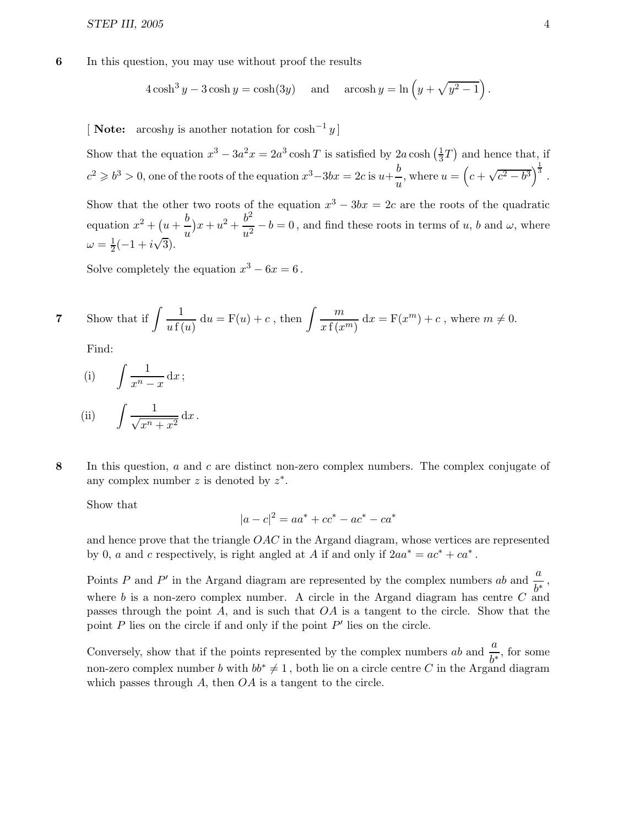6 In this question, you may use without proof the results

$$
4\cosh^3 y - 3\cosh y = \cosh(3y) \quad \text{and} \quad \operatorname{arcosh} y = \ln\left(y + \sqrt{y^2 - 1}\right).
$$

[ **Note:** arcoshy is another notation for  $cosh^{-1} y$ ]

Show that the equation  $x^3 - 3a^2x = 2a^3 \cosh T$  is satisfied by  $2a \cosh \left(\frac{1}{3}\right)$  $\frac{1}{3}T$ ) and hence that, if  $c^2 \geq b^3 > 0$ , one of the roots of the equation  $x^3 - 3bx = 2c$  is  $u + \frac{b}{a}$  $\frac{b}{u}$ , where  $u = \left(c + \sqrt{c^2 - b^3}\right)^{\frac{1}{3}}$ .

Show that the other two roots of the equation  $x^3 - 3bx = 2c$  are the roots of the quadratic equation  $x^2 + (u + \frac{b}{a})$ u  $(x + u^2 + \frac{b^2}{2})$  $\frac{\partial}{\partial u^2} - b = 0$ , and find these roots in terms of u, b and  $\omega$ , where  $\omega = \frac{1}{2}(-1 + i\sqrt{3}).$ 

Solve completely the equation  $x^3 - 6x = 6$ .

7 Show that if 
$$
\int \frac{1}{u f(u)} du = F(u) + c
$$
, then  $\int \frac{m}{x f(x^m)} dx = F(x^m) + c$ , where  $m \neq 0$ .

Find:

(i) 
$$
\int \frac{1}{x^n - x} dx
$$
;  
(ii)  $\int \frac{1}{x^2 - x} dx$ 

(ii) 
$$
\int \frac{1}{\sqrt{x^n + x^2}} dx.
$$

8 In this question, a and c are distinct non-zero complex numbers. The complex conjugate of any complex number z is denoted by  $z^*$ .

Show that

$$
|a - c|^2 = aa^* + cc^* - ac^* - ca^*
$$

and hence prove that the triangle  $OAC$  in the Argand diagram, whose vertices are represented by 0, a and c respectively, is right angled at A if and only if  $2aa^* = ac^* + ca^*$ .

Points P and P' in the Argand diagram are represented by the complex numbers ab and  $\frac{a}{b^*}$ , where b is a non-zero complex number. A circle in the Argand diagram has centre  $C$  and passes through the point A, and is such that  $OA$  is a tangent to the circle. Show that the point  $P$  lies on the circle if and only if the point  $P'$  lies on the circle.

Conversely, show that if the points represented by the complex numbers ab and  $\frac{a}{b^*}$ , for some non-zero complex number b with  $bb^* \neq 1$ , both lie on a circle centre C in the Argand diagram which passes through  $A$ , then  $OA$  is a tangent to the circle.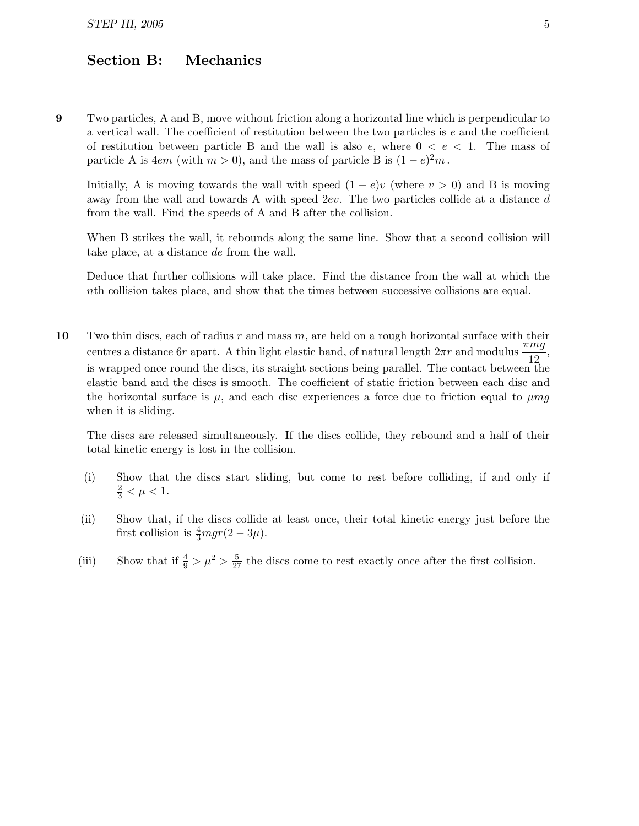## Section B: Mechanics

9 Two particles, A and B, move without friction along a horizontal line which is perpendicular to a vertical wall. The coefficient of restitution between the two particles is e and the coefficient of restitution between particle B and the wall is also  $e$ , where  $0 < e < 1$ . The mass of particle A is  $4em$  (with  $m > 0$ ), and the mass of particle B is  $(1 - e)^2 m$ .

Initially, A is moving towards the wall with speed  $(1-e)v$  (where  $v > 0$ ) and B is moving away from the wall and towards A with speed  $2ev$ . The two particles collide at a distance d from the wall. Find the speeds of A and B after the collision.

When B strikes the wall, it rebounds along the same line. Show that a second collision will take place, at a distance de from the wall.

Deduce that further collisions will take place. Find the distance from the wall at which the nth collision takes place, and show that the times between successive collisions are equal.

10 Two thin discs, each of radius r and mass m, are held on a rough horizontal surface with their centres a distance 6r apart. A thin light elastic band, of natural length  $2\pi r$  and modulus  $\frac{\pi mg}{12}$ , is wrapped once round the discs, its straight sections being parallel. The contact between the elastic band and the discs is smooth. The coefficient of static friction between each disc and the horizontal surface is  $\mu$ , and each disc experiences a force due to friction equal to  $\mu mg$ when it is sliding.

The discs are released simultaneously. If the discs collide, they rebound and a half of their total kinetic energy is lost in the collision.

- (i) Show that the discs start sliding, but come to rest before colliding, if and only if  $\frac{2}{3} < \mu < 1.$
- (ii) Show that, if the discs collide at least once, their total kinetic energy just before the first collision is  $\frac{4}{3}mgr(2-3\mu)$ .
- (iii) Show that if  $\frac{4}{9} > \mu^2 > \frac{5}{27}$  the discs come to rest exactly once after the first collision.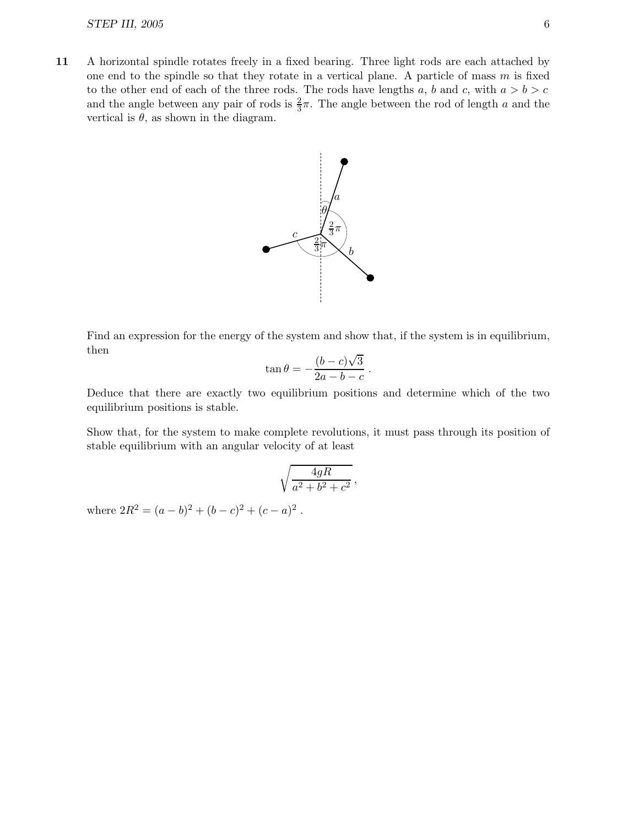11 A horizontal spindle rotates freely in a fixed bearing. Three light rods are each attached by one end to the spindle so that they rotate in a vertical plane. A particle of mass  $m$  is fixed to the other end of each of the three rods. The rods have lengths a, b and c, with  $a > b > c$ and the angle between any pair of rods is  $\frac{2}{3}\pi$ . The angle between the rod of length a and the vertical is  $\theta$ , as shown in the diagram.



Find an expression for the energy of the system and show that, if the system is in equilibrium, then

$$
\tan\theta = -\frac{(b-c)\sqrt{3}}{2a-b-c}
$$

.

Deduce that there are exactly two equilibrium positions and determine which of the two equilibrium positions is stable.

Show that, for the system to make complete revolutions, it must pass through its position of stable equilibrium with an angular velocity of at least

$$
\sqrt{\frac{4gR}{a^2 + b^2 + c^2}}\,,
$$

where  $2R^2 = (a - b)^2 + (b - c)^2 + (c - a)^2$ .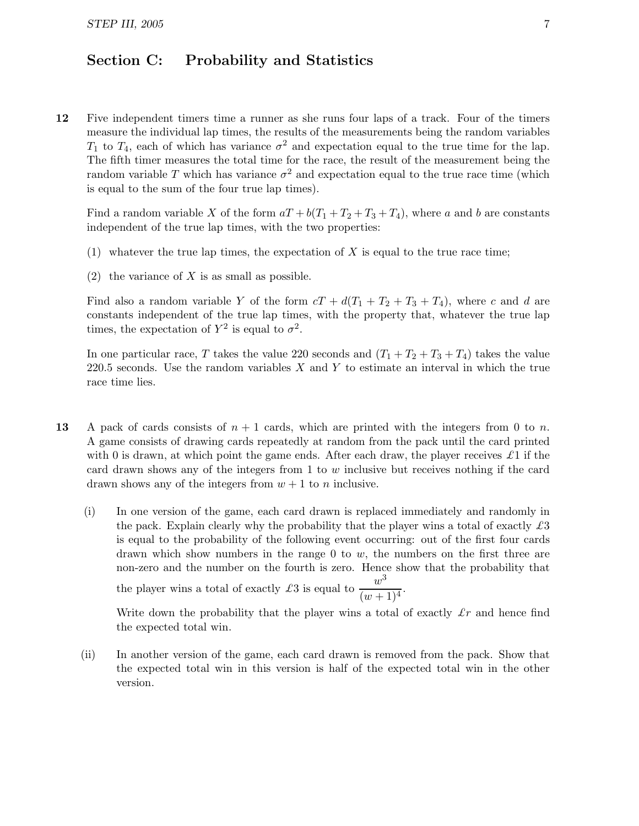## Section C: Probability and Statistics

12 Five independent timers time a runner as she runs four laps of a track. Four of the timers measure the individual lap times, the results of the measurements being the random variables  $T_1$  to  $T_4$ , each of which has variance  $\sigma^2$  and expectation equal to the true time for the lap. The fifth timer measures the total time for the race, the result of the measurement being the random variable T which has variance  $\sigma^2$  and expectation equal to the true race time (which is equal to the sum of the four true lap times).

Find a random variable X of the form  $aT + b(T_1 + T_2 + T_3 + T_4)$ , where a and b are constants independent of the true lap times, with the two properties:

- (1) whatever the true lap times, the expectation of  $X$  is equal to the true race time;
- $(2)$  the variance of X is as small as possible.

Find also a random variable Y of the form  $cT + d(T_1 + T_2 + T_3 + T_4)$ , where c and d are constants independent of the true lap times, with the property that, whatever the true lap times, the expectation of  $Y^2$  is equal to  $\sigma^2$ .

In one particular race, T takes the value 220 seconds and  $(T_1 + T_2 + T_3 + T_4)$  takes the value 220.5 seconds. Use the random variables  $X$  and  $Y$  to estimate an interval in which the true race time lies.

- 13 A pack of cards consists of  $n + 1$  cards, which are printed with the integers from 0 to n. A game consists of drawing cards repeatedly at random from the pack until the card printed with 0 is drawn, at which point the game ends. After each draw, the player receives  $\pounds 1$  if the card drawn shows any of the integers from  $1$  to  $w$  inclusive but receives nothing if the card drawn shows any of the integers from  $w + 1$  to n inclusive.
	- (i) In one version of the game, each card drawn is replaced immediately and randomly in the pack. Explain clearly why the probability that the player wins a total of exactly  $\pounds 3$ is equal to the probability of the following event occurring: out of the first four cards drawn which show numbers in the range 0 to  $w$ , the numbers on the first three are non-zero and the number on the fourth is zero. Hence show that the probability that the player wins a total of exactly £3 is equal to  $\frac{w^3}{\sqrt{2}}$  $\frac{1}{(w+1)^4}$

Write down the probability that the player wins a total of exactly  $\pounds r$  and hence find the expected total win.

(ii) In another version of the game, each card drawn is removed from the pack. Show that the expected total win in this version is half of the expected total win in the other version.